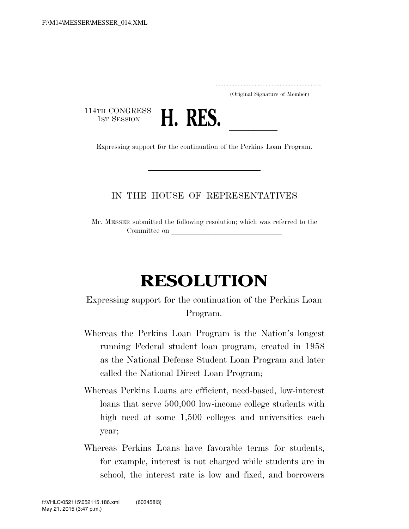.....................................................................

(Original Signature of Member)

114TH CONGRESS<br>1st Session



1st Session **H. KES.**<br>Expressing support for the continuation of the Perkins Loan Program.

## IN THE HOUSE OF REPRESENTATIVES

Mr. MESSER submitted the following resolution; which was referred to the Committee on

## **RESOLUTION**

Expressing support for the continuation of the Perkins Loan Program.

- Whereas the Perkins Loan Program is the Nation's longest running Federal student loan program, created in 1958 as the National Defense Student Loan Program and later called the National Direct Loan Program;
- Whereas Perkins Loans are efficient, need-based, low-interest loans that serve 500,000 low-income college students with high need at some  $1,500$  colleges and universities each year;
- Whereas Perkins Loans have favorable terms for students, for example, interest is not charged while students are in school, the interest rate is low and fixed, and borrowers